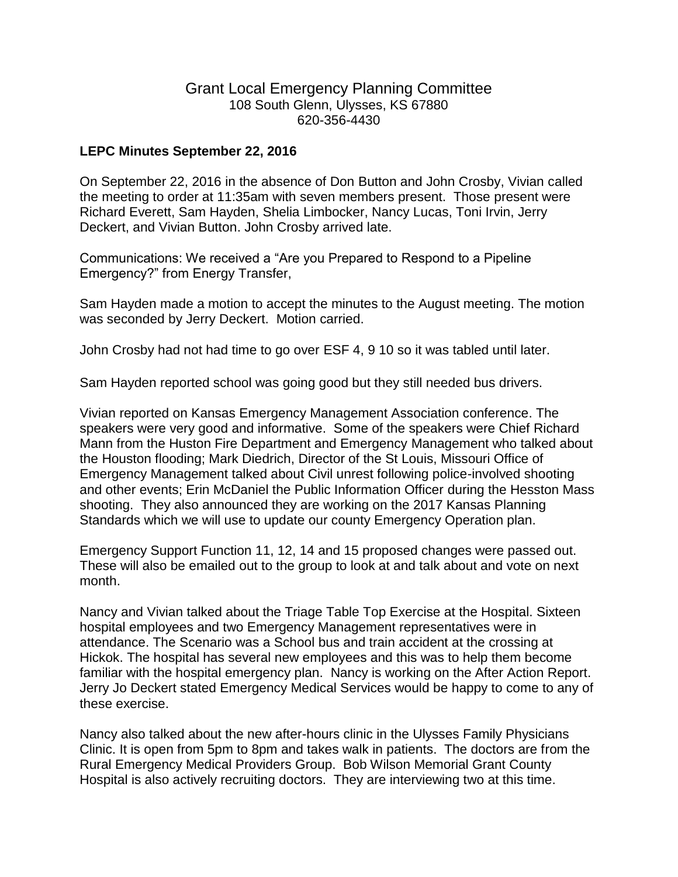## Grant Local Emergency Planning Committee 108 South Glenn, Ulysses, KS 67880 620-356-4430

## **LEPC Minutes September 22, 2016**

On September 22, 2016 in the absence of Don Button and John Crosby, Vivian called the meeting to order at 11:35am with seven members present. Those present were Richard Everett, Sam Hayden, Shelia Limbocker, Nancy Lucas, Toni Irvin, Jerry Deckert, and Vivian Button. John Crosby arrived late.

Communications: We received a "Are you Prepared to Respond to a Pipeline Emergency?" from Energy Transfer,

Sam Hayden made a motion to accept the minutes to the August meeting. The motion was seconded by Jerry Deckert. Motion carried.

John Crosby had not had time to go over ESF 4, 9 10 so it was tabled until later.

Sam Hayden reported school was going good but they still needed bus drivers.

Vivian reported on Kansas Emergency Management Association conference. The speakers were very good and informative. Some of the speakers were Chief Richard Mann from the Huston Fire Department and Emergency Management who talked about the Houston flooding; Mark Diedrich, Director of the St Louis, Missouri Office of Emergency Management talked about Civil unrest following police-involved shooting and other events; Erin McDaniel the Public Information Officer during the Hesston Mass shooting. They also announced they are working on the 2017 Kansas Planning Standards which we will use to update our county Emergency Operation plan.

Emergency Support Function 11, 12, 14 and 15 proposed changes were passed out. These will also be emailed out to the group to look at and talk about and vote on next month.

Nancy and Vivian talked about the Triage Table Top Exercise at the Hospital. Sixteen hospital employees and two Emergency Management representatives were in attendance. The Scenario was a School bus and train accident at the crossing at Hickok. The hospital has several new employees and this was to help them become familiar with the hospital emergency plan. Nancy is working on the After Action Report. Jerry Jo Deckert stated Emergency Medical Services would be happy to come to any of these exercise.

Nancy also talked about the new after-hours clinic in the Ulysses Family Physicians Clinic. It is open from 5pm to 8pm and takes walk in patients. The doctors are from the Rural Emergency Medical Providers Group. Bob Wilson Memorial Grant County Hospital is also actively recruiting doctors. They are interviewing two at this time.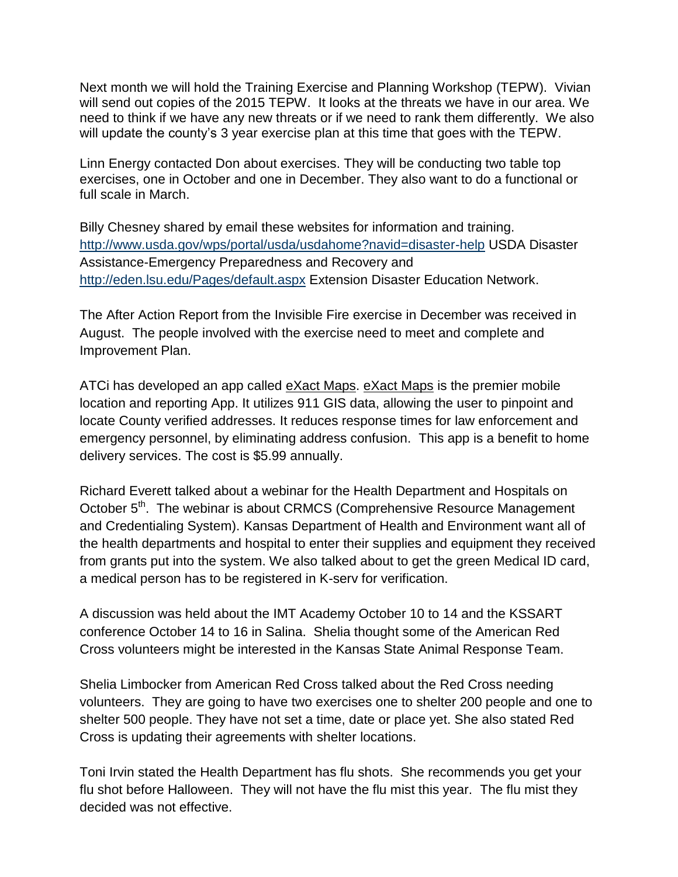Next month we will hold the Training Exercise and Planning Workshop (TEPW). Vivian will send out copies of the 2015 TEPW. It looks at the threats we have in our area. We need to think if we have any new threats or if we need to rank them differently. We also will update the county's 3 year exercise plan at this time that goes with the TEPW.

Linn Energy contacted Don about exercises. They will be conducting two table top exercises, one in October and one in December. They also want to do a functional or full scale in March.

Billy Chesney shared by email these websites for information and training. <http://www.usda.gov/wps/portal/usda/usdahome?navid=disaster-help> USDA Disaster Assistance-Emergency Preparedness and Recovery and <http://eden.lsu.edu/Pages/default.aspx> Extension Disaster Education Network.

The After Action Report from the Invisible Fire exercise in December was received in August. The people involved with the exercise need to meet and complete and Improvement Plan.

ATCi has developed an app called eXact Maps. eXact Maps is the premier mobile location and reporting App. It utilizes 911 GIS data, allowing the user to pinpoint and locate County verified addresses. It reduces response times for law enforcement and emergency personnel, by eliminating address confusion. This app is a benefit to home delivery services. The cost is \$5.99 annually.

Richard Everett talked about a webinar for the Health Department and Hospitals on October 5<sup>th</sup>. The webinar is about CRMCS (Comprehensive Resource Management and Credentialing System). Kansas Department of Health and Environment want all of the health departments and hospital to enter their supplies and equipment they received from grants put into the system. We also talked about to get the green Medical ID card, a medical person has to be registered in K-serv for verification.

A discussion was held about the IMT Academy October 10 to 14 and the KSSART conference October 14 to 16 in Salina. Shelia thought some of the American Red Cross volunteers might be interested in the Kansas State Animal Response Team.

Shelia Limbocker from American Red Cross talked about the Red Cross needing volunteers. They are going to have two exercises one to shelter 200 people and one to shelter 500 people. They have not set a time, date or place yet. She also stated Red Cross is updating their agreements with shelter locations.

Toni Irvin stated the Health Department has flu shots. She recommends you get your flu shot before Halloween. They will not have the flu mist this year. The flu mist they decided was not effective.